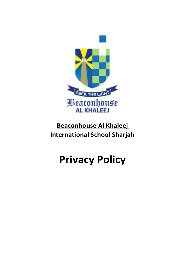

# **Beaconhouse Al Khaleej International School Sharjah**

# **Privacy Policy**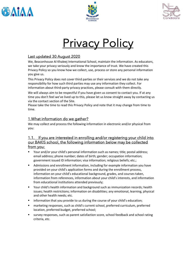





# **Privacy Policy**

### Last updated 30 August 2020

We, Beaconhouse Al Khaleej International School, maintain the information. As educators, we take your privacy seriously and know the importance of trust. We have created this Privacy Policy so you know how we collect, use, process or store any personal information you give us.

This Privacy Policy does not cover third parties or their services and we do not take any responsibility for how such third parties may use any information they collect. For information about third-party privacy practices, please consult with them directly.

We will always aim to be respectful if you have given us consent to contact you. If at any time you don't feel we've lived up to this, please let us know straight away by contacting us via the contact section of the Site.

Please take the time to read this Privacy Policy and note that it may change from time to time.

# 1.What information do we gather?

We may collect and process the following information in electronic and/or physical from you:

#### 1.1. If you are interested in enrolling and/or registering your child into our BAKIS school, the following information below may be collected from you:

- Your and/or your child's personal information such as names; title; postal address; email address; phone number; dates of birth; gender; occupation information; government issued ID information; visa information; religious beliefs; etc.;
- **E** Admissions and enrollment information, including for example information you have provided on your child's application forms and during the enrollment process, information on your child's educational background, grades, and courses taken, information from references, information about your child's interests, and information from educational institutions attended previously;
- Your child's health information and background such as immunization records; health issues; health restrictions; information on disabilities; any emotional, learning, physical and other health needs; etc.
- **E** information that you provide to us during the course of your child's education;
- marketing responses, such as child's current school, preferred curriculum, preferred location, preferred budget, preferred school;
- survey responses, such as parent satisfaction score, school feedback and school rating criteria, etc.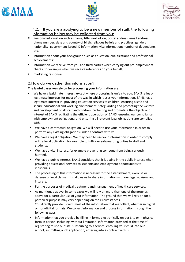





#### 1.2. If you are a applying to be a new member of staff, the following information below may be collected from you:

- Personal information such as name; title; next of kin; postal address; email address; phone number; date and country of birth; religious beliefs and practices; gender; nationality; government issued ID information; visa information; number of dependents; etc.;
- **■** information about your background such as education, qualifications and professional achievements;
- **■** information we receive from you and third parties when carrying out pre-employment checks, for example when we receive references on your behalf;
- marketing responses:

#### 2.How do we gather this information?

#### **The lawful bases we rely on for processing your information are:**

- We have a legitimate interest, except where processing is unfair to you. BAKIS relies on legitimate interests for most of the way in which it uses your information. BAKIS has a legitimate interest in: providing education services to children; ensuring a safe and secure educational and working environment; safeguarding and promoting the welfare and development of all staff and children; protecting and promoting the objects and interest of BAKIS facilitating the efficient operation of BAKIS; ensuring our compliance with employment obligations; and ensuring all relevant legal obligations are complied with.
- We have a contractual obligation. We will need to use your information in order to perform any existing obligations under a contract with you.
- We have a legal obligation. We may need to use your information in order to comply with a legal obligation, for example to fulfil our safeguarding duties to staff and students.
- We have a vital interest, for example preventing someone from being seriously harmed.
- We have a public interest. BAKIS considers that it is acting in the public interest when providing educational services to students and employment opportunities to individuals.
- The processing of this information is necessary for the establishment, exercise or defense of legal claims. This allows us to share information with our legal advisors and insurers.
- For the purposes of medical treatment and management of healthcare services.
- As mentioned above, in some cases we will rely on more than one of the grounds above for a particular use of your information. The ground that we will rely on for a particular purpose may vary depending on the circumstances. You directly provide us with most of the information that we collect, whether in digital or non-digital formats. We collect information and process information through the following ways:
- Information that you provide by filling in forms electronically on our Site or in physical form in person, including, without limitation, Information provided at the time of registering to use our Site, subscribing to a service, enrolling your child into our school, submitting a job application, entering into a contract with us.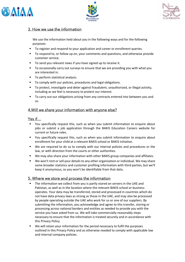





#### 3. How we use the information

We use the information held about you in the following ways and for the following purposes:

- To register and respond to your application and career or enrollment queries.
- To respond to, or follow up on, your comments and questions, and otherwise provide customer service.
- To send you relevant news if you have signed up to receive it.
- To occasionally carry out surveys to ensure that we are providing you with what you are interested in.
- To perform statistical analysis.
- To comply with our policies, procedures and legal obligations.
- To protect, investigate and deter against fraudulent, unauthorized, or illegal activity, including as we feel is necessary to protect our interest.
- **•** To carry out our obligations arising from any contracts entered into between you and us.

#### 4.Will we share your information with anyone else?

#### Yes if…

- You specifically request this, such as when you submit information to enquire about jobs or submit a job application through the BAKIS Education Careers website for current or future roles.
- You specifically request this, such as when you submit information to enquire about enrollment for your child at a relevant BAKIS school or BAKIS initiative.
- We are required to do so to comply with our internal policies and procedures or the law, or with direction from the courts or other authorities.
- We may also share your information with other BAKIS group companies and affiliates.
- We won't rent or sell your details to any other organization or individual. We may share some broader statistics and customer profiling information with third parties, but we'll keep it anonymous, so you won't be identifiable from that data.

#### 5. Where we store and process the information

- **■** The information we collect from you is partly stored on servers in the UAE and Pakistan, as well as in the location where the relevant BAKIS school or business operates. Your data may be transferred, stored and processed in countries which do not have data privacy laws as strong as those in the UAE, and may also be processed by people operating outside the UAE who work for us or one of our suppliers. By submitting the information, you acknowledge and agree to this transfer, storing or processing across national borders and entities as needed to provide you with the service you have asked from us. We will take commercially-reasonably steps necessary to ensure that the information is treated securely and in accordance with this Privacy Policy.
- We will retain your information for the period necessary to fulfil the purposes outlined in this Privacy Policy and as otherwise needed to comply with applicable law and internal company policies.